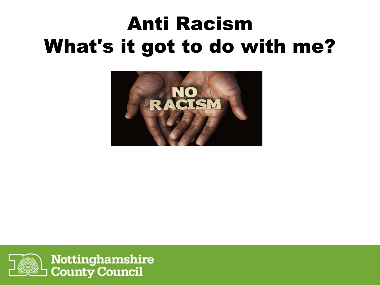### Anti Racism What's it got to do with me?



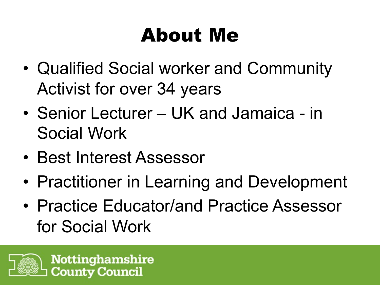### About Me

- Qualified Social worker and Community Activist for over 34 years
- Senior Lecturer UK and Jamaica in Social Work
- Best Interest Assessor
- Practitioner in Learning and Development
- Practice Educator/and Practice Assessor for Social Work

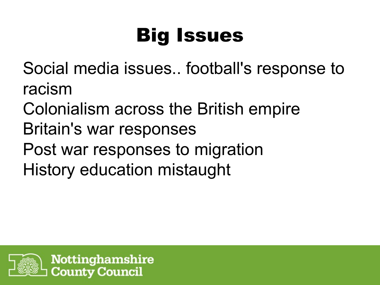## Big Issues

Social media issues.. football's response to racism

- Colonialism across the British empire Britain's war responses
- Post war responses to migration History education mistaught

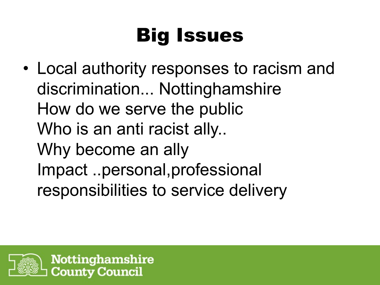# Big Issues

• Local authority responses to racism and discrimination... Nottinghamshire How do we serve the public Who is an anti racist ally.. Why become an ally Impact ..personal,professional responsibilities to service delivery

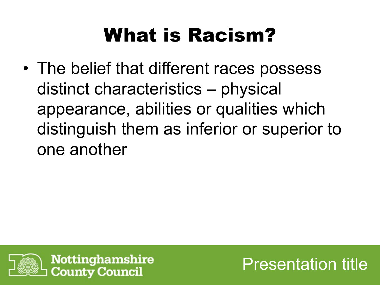### What is Racism?

• The belief that different races possess distinct characteristics – physical appearance, abilities or qualities which distinguish them as inferior or superior to one another



Presentation title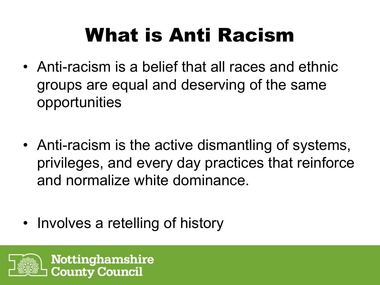## What is Anti Racism

- Anti-racism is a belief that all races and ethnic groups are equal and deserving of the same opportunities
- Anti-racism is the active dismantling of systems, privileges, and every day practices that reinforce and normalize white dominance.
- Involves a retelling of history

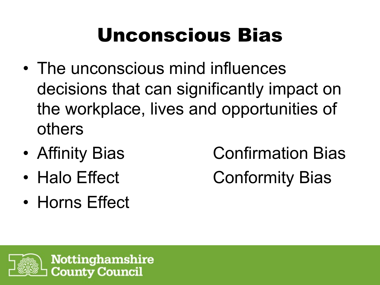### Unconscious Bias

- The unconscious mind influences decisions that can significantly impact on the workplace, lives and opportunities of others
- 
- 
- Horns Effect

• Affinity Bias **Confirmation Bias** • Halo Effect Conformity Bias

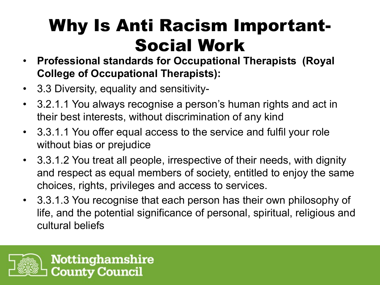### Why Is Anti Racism Important-Social Work

- **Professional standards for Occupational Therapists (Royal College of Occupational Therapists):**
- 3.3 Diversity, equality and sensitivity-
- 3.2.1.1 You always recognise a person's human rights and act in their best interests, without discrimination of any kind
- 3.3.1.1 You offer equal access to the service and fulfil your role without bias or prejudice
- 3.3.1.2 You treat all people, irrespective of their needs, with dignity and respect as equal members of society, entitled to enjoy the same choices, rights, privileges and access to services.
- 3.3.1.3 You recognise that each person has their own philosophy of life, and the potential significance of personal, spiritual, religious and cultural beliefs

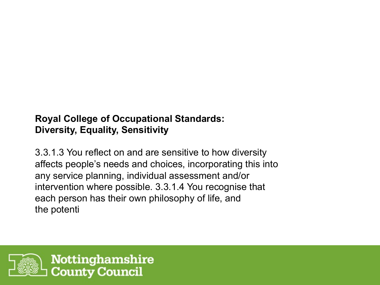#### **Royal College of Occupational Standards: Diversity, Equality, Sensitivity**

3.3.1.3 You reflect on and are sensitive to how diversity affects people's needs and choices, incorporating this into any service planning, individual assessment and/or intervention where possible. 3.3.1.4 You recognise that each person has their own philosophy of life, and the potenti

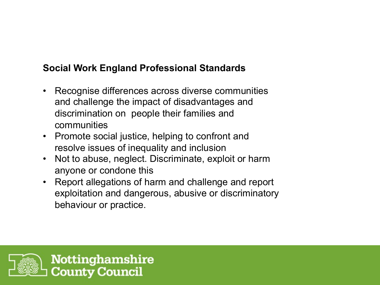#### **Social Work England Professional Standards**

- Recognise differences across diverse communities and challenge the impact of disadvantages and discrimination on people their families and communities
- Promote social justice, helping to confront and resolve issues of inequality and inclusion
- Not to abuse, neglect. Discriminate, exploit or harm anyone or condone this
- Report allegations of harm and challenge and report exploitation and dangerous, abusive or discriminatory behaviour or practice.

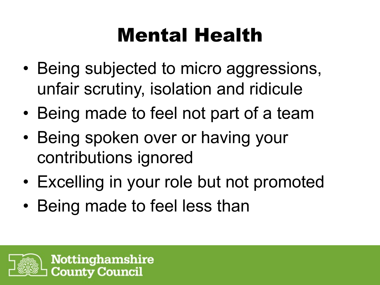### Mental Health

- Being subjected to micro aggressions, unfair scrutiny, isolation and ridicule
- Being made to feel not part of a team
- Being spoken over or having your contributions ignored
- Excelling in your role but not promoted
- Being made to feel less than

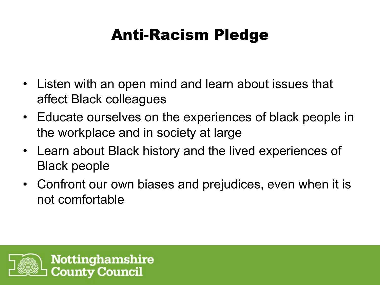### Anti-Racism Pledge

- Listen with an open mind and learn about issues that affect Black colleagues
- Educate ourselves on the experiences of black people in the workplace and in society at large
- Learn about Black history and the lived experiences of Black people
- Confront our own biases and prejudices, even when it is not comfortable

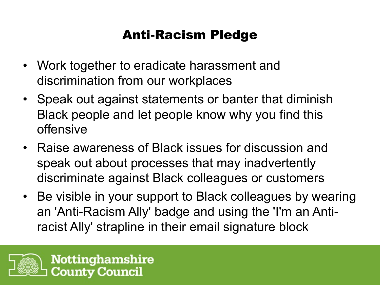### Anti-Racism Pledge

- Work together to eradicate harassment and discrimination from our workplaces
- Speak out against statements or banter that diminish Black people and let people know why you find this offensive
- Raise awareness of Black issues for discussion and speak out about processes that may inadvertently discriminate against Black colleagues or customers
- Be visible in your support to Black colleagues by wearing an 'Anti-Racism Ally' badge and using the 'I'm an Antiracist Ally' strapline in their email signature block

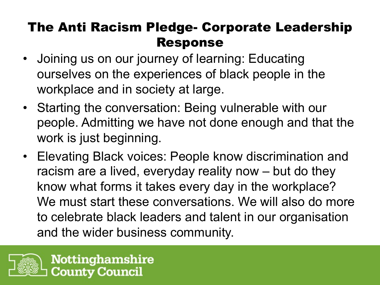### The Anti Racism Pledge- Corporate Leadership Response

- Joining us on our journey of learning: Educating ourselves on the experiences of black people in the workplace and in society at large.
- Starting the conversation: Being vulnerable with our people. Admitting we have not done enough and that the work is just beginning.
- Elevating Black voices: People know discrimination and racism are a lived, everyday reality now – but do they know what forms it takes every day in the workplace? We must start these conversations. We will also do more to celebrate black leaders and talent in our organisation and the wider business community.

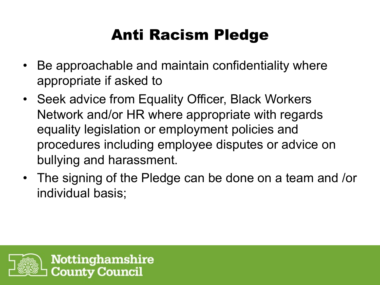### Anti Racism Pledge

- Be approachable and maintain confidentiality where appropriate if asked to
- Seek advice from Equality Officer, Black Workers Network and/or HR where appropriate with regards equality legislation or employment policies and procedures including employee disputes or advice on bullying and harassment.
- The signing of the Pledge can be done on a team and /or individual basis;

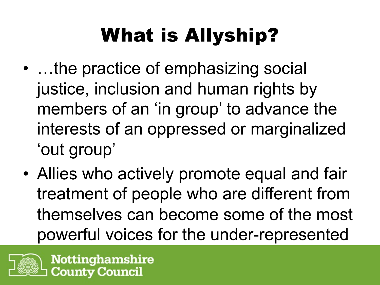# What is Allyship?

- …the practice of emphasizing social justice, inclusion and human rights by members of an 'in group' to advance the interests of an oppressed or marginalized 'out group'
- Allies who actively promote equal and fair treatment of people who are different from themselves can become some of the most powerful voices for the under-represented

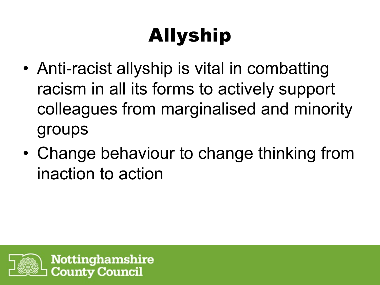# Allyship

- Anti-racist allyship is vital in combatting racism in all its forms to actively support colleagues from marginalised and minority groups
- Change behaviour to change thinking from inaction to action